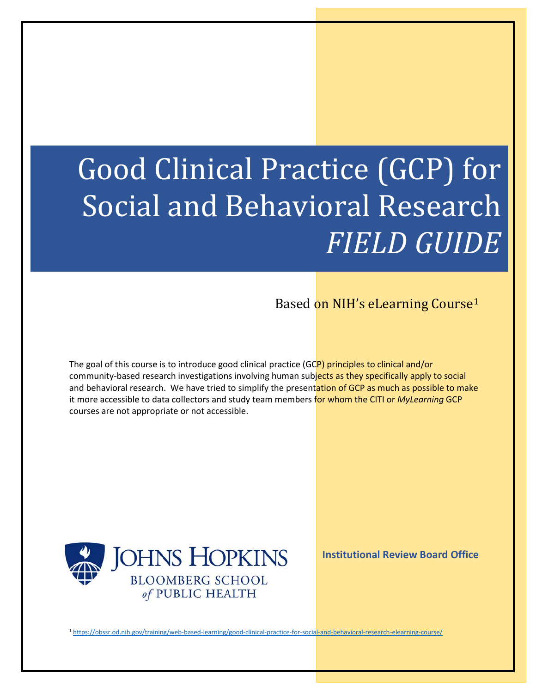# Good Clinical Practice (GCP) for Social and Behavioral Research *FIELD GUIDE*

Based on NIH's eLearning Course[1](#page-0-0)

The goal of this course is to introduce good clinical practice (GCP) principles to clinical and/or community-based research investigations involving human subjects as they specifically apply to social and behavioral research. We have tried to simplify the presentation of GCP as much as possible to make it more accessible to data collectors and study team members for whom the CITI or *MyLearning* GCP courses are not appropriate or not accessible.



**Institutional Review Board Office**

<span id="page-0-0"></span>1 <https://obssr.od.nih.gov/training/web-based-learning/good-clinical-practice-for-social-and-behavioral-research-elearning-course/>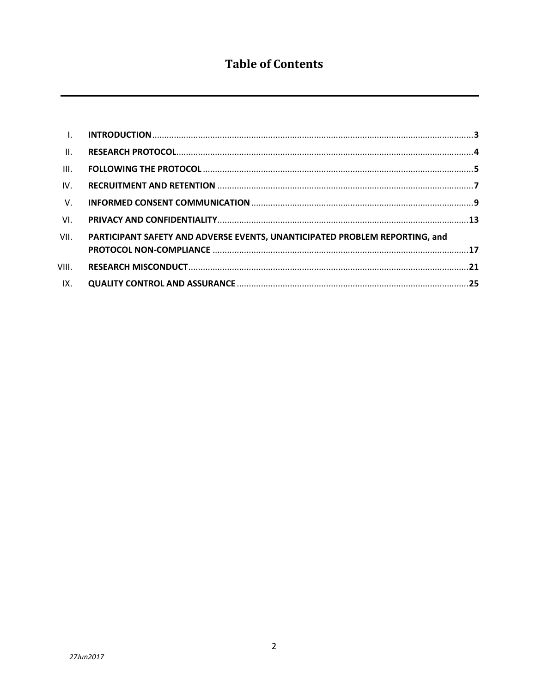# **Table of Contents**

| $\mathbf{L}$    |                                                                             |  |
|-----------------|-----------------------------------------------------------------------------|--|
| $\mathbf{II}$ . |                                                                             |  |
| III.            |                                                                             |  |
| IV.             |                                                                             |  |
| V.              |                                                                             |  |
| VI.             |                                                                             |  |
| VII.            | PARTICIPANT SAFETY AND ADVERSE EVENTS, UNANTICIPATED PROBLEM REPORTING, and |  |
| VIII.           |                                                                             |  |
| IX.             |                                                                             |  |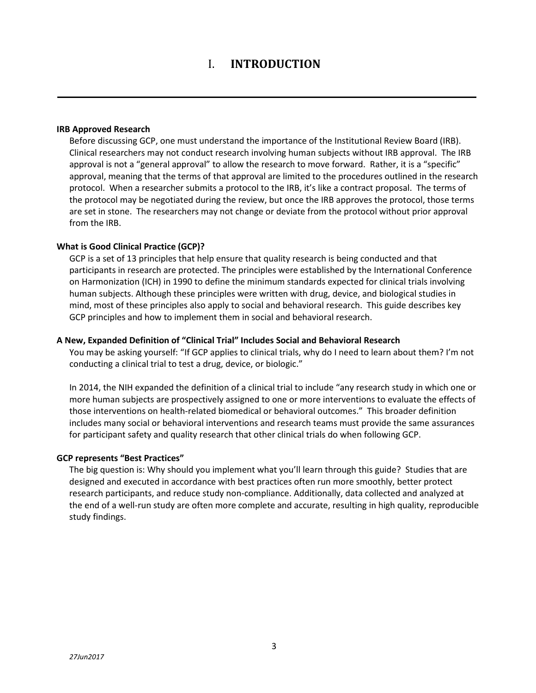#### **IRB Approved Research**

Before discussing GCP, one must understand the importance of the Institutional Review Board (IRB). Clinical researchers may not conduct research involving human subjects without IRB approval. The IRB approval is not a "general approval" to allow the research to move forward. Rather, it is a "specific" approval, meaning that the terms of that approval are limited to the procedures outlined in the research protocol. When a researcher submits a protocol to the IRB, it's like a contract proposal. The terms of the protocol may be negotiated during the review, but once the IRB approves the protocol, those terms are set in stone. The researchers may not change or deviate from the protocol without prior approval from the IRB.

#### **What is Good Clinical Practice (GCP)?**

GCP is a set of 13 principles that help ensure that quality research is being conducted and that participants in research are protected. The principles were established by the International Conference on Harmonization (ICH) in 1990 to define the minimum standards expected for clinical trials involving human subjects. Although these principles were written with drug, device, and biological studies in mind, most of these principles also apply to social and behavioral research. This guide describes key GCP principles and how to implement them in social and behavioral research.

#### **A New, Expanded Definition of "Clinical Trial" Includes Social and Behavioral Research**

You may be asking yourself: "If GCP applies to clinical trials, why do I need to learn about them? I'm not conducting a clinical trial to test a drug, device, or biologic."

In 2014, the NIH expanded the definition of a clinical trial to include "any research study in which one or more human subjects are prospectively assigned to one or more interventions to evaluate the effects of those interventions on health-related biomedical or behavioral outcomes." This broader definition includes many social or behavioral interventions and research teams must provide the same assurances for participant safety and quality research that other clinical trials do when following GCP.

# **GCP represents "Best Practices"**

The big question is: Why should you implement what you'll learn through this guide? Studies that are designed and executed in accordance with best practices often run more smoothly, better protect research participants, and reduce study non-compliance. Additionally, data collected and analyzed at the end of a well-run study are often more complete and accurate, resulting in high quality, reproducible study findings.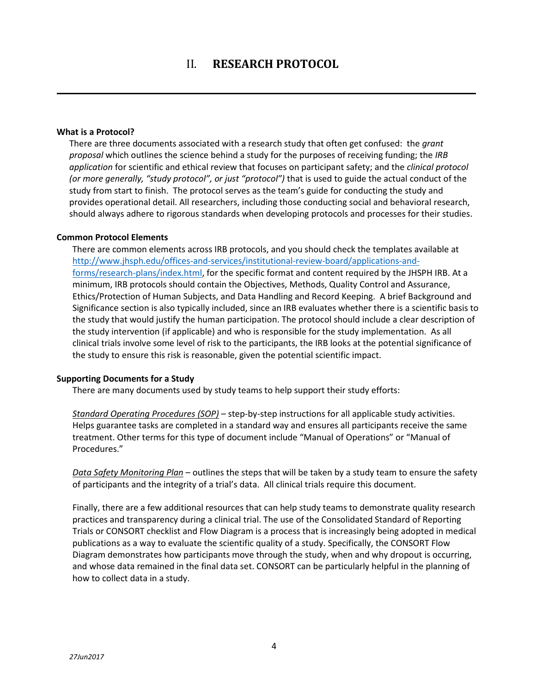#### **What is a Protocol?**

There are three documents associated with a research study that often get confused: the *grant proposal* which outlines the science behind a study for the purposes of receiving funding; the *IRB application* for scientific and ethical review that focuses on participant safety; and the *clinical protocol (or more generally, "study protocol", or just "protocol")* that is used to guide the actual conduct of the study from start to finish. The protocol serves as the team's guide for conducting the study and provides operational detail. All researchers, including those conducting social and behavioral research, should always adhere to rigorous standards when developing protocols and processes for their studies.

# **Common Protocol Elements**

There are common elements across IRB protocols, and you should check the templates available at [http://www.jhsph.edu/offices-and-services/institutional-review-board/applications-and](http://www.jhsph.edu/offices-and-services/institutional-review-board/applications-and-forms/research-plans/index.html)[forms/research-plans/index.html,](http://www.jhsph.edu/offices-and-services/institutional-review-board/applications-and-forms/research-plans/index.html) for the specific format and content required by the JHSPH IRB. At a minimum, IRB protocols should contain the Objectives, Methods, Quality Control and Assurance, Ethics/Protection of Human Subjects, and Data Handling and Record Keeping. A brief Background and Significance section is also typically included, since an IRB evaluates whether there is a scientific basis to the study that would justify the human participation. The protocol should include a clear description of the study intervention (if applicable) and who is responsible for the study implementation. As all clinical trials involve some level of risk to the participants, the IRB looks at the potential significance of the study to ensure this risk is reasonable, given the potential scientific impact.

# **Supporting Documents for a Study**

There are many documents used by study teams to help support their study efforts:

*Standard Operating Procedures (SOP)* – step-by-step instructions for all applicable study activities. Helps guarantee tasks are completed in a standard way and ensures all participants receive the same treatment. Other terms for this type of document include "Manual of Operations" or "Manual of Procedures."

*Data Safety Monitoring Plan* – outlines the steps that will be taken by a study team to ensure the safety of participants and the integrity of a trial's data. All clinical trials require this document.

Finally, there are a few additional resources that can help study teams to demonstrate quality research practices and transparency during a clinical trial. The use of the Consolidated Standard of Reporting Trials or CONSORT checklist and Flow Diagram is a process that is increasingly being adopted in medical publications as a way to evaluate the scientific quality of a study. Specifically, the CONSORT Flow Diagram demonstrates how participants move through the study, when and why dropout is occurring, and whose data remained in the final data set. CONSORT can be particularly helpful in the planning of how to collect data in a study.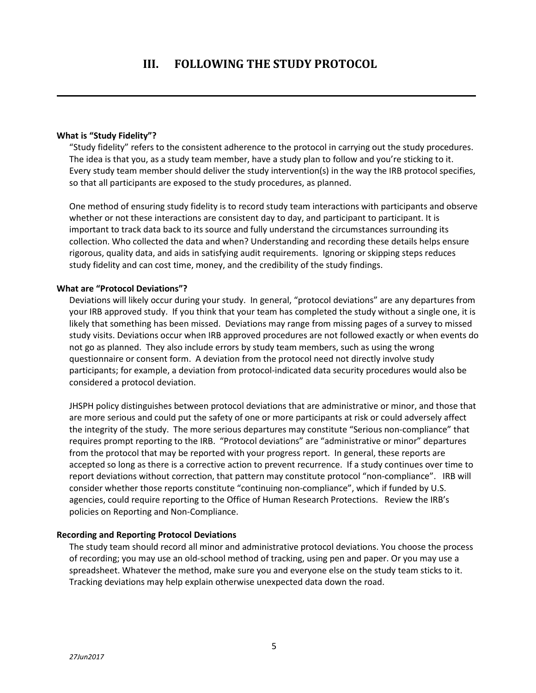#### **What is "Study Fidelity"?**

"Study fidelity" refers to the consistent adherence to the protocol in carrying out the study procedures. The idea is that you, as a study team member, have a study plan to follow and you're sticking to it. Every study team member should deliver the study intervention(s) in the way the IRB protocol specifies, so that all participants are exposed to the study procedures, as planned.

One method of ensuring study fidelity is to record study team interactions with participants and observe whether or not these interactions are consistent day to day, and participant to participant. It is important to track data back to its source and fully understand the circumstances surrounding its collection. Who collected the data and when? Understanding and recording these details helps ensure rigorous, quality data, and aids in satisfying audit requirements. Ignoring or skipping steps reduces study fidelity and can cost time, money, and the credibility of the study findings.

#### **What are "Protocol Deviations"?**

Deviations will likely occur during your study. In general, "protocol deviations" are any departures from your IRB approved study. If you think that your team has completed the study without a single one, it is likely that something has been missed. Deviations may range from missing pages of a survey to missed study visits. Deviations occur when IRB approved procedures are not followed exactly or when events do not go as planned. They also include errors by study team members, such as using the wrong questionnaire or consent form. A deviation from the protocol need not directly involve study participants; for example, a deviation from protocol-indicated data security procedures would also be considered a protocol deviation.

JHSPH policy distinguishes between protocol deviations that are administrative or minor, and those that are more serious and could put the safety of one or more participants at risk or could adversely affect the integrity of the study. The more serious departures may constitute "Serious non-compliance" that requires prompt reporting to the IRB. "Protocol deviations" are "administrative or minor" departures from the protocol that may be reported with your progress report. In general, these reports are accepted so long as there is a corrective action to prevent recurrence. If a study continues over time to report deviations without correction, that pattern may constitute protocol "non-compliance". IRB will consider whether those reports constitute "continuing non-compliance", which if funded by U.S. agencies, could require reporting to the Office of Human Research Protections. Review the IRB's policies on Reporting and Non-Compliance.

#### **Recording and Reporting Protocol Deviations**

The study team should record all minor and administrative protocol deviations. You choose the process of recording; you may use an old-school method of tracking, using pen and paper. Or you may use a spreadsheet. Whatever the method, make sure you and everyone else on the study team sticks to it. Tracking deviations may help explain otherwise unexpected data down the road.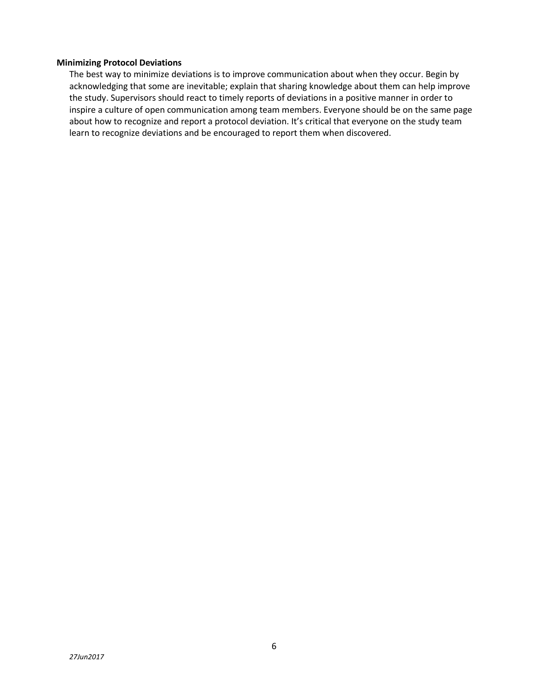# **Minimizing Protocol Deviations**

The best way to minimize deviations is to improve communication about when they occur. Begin by acknowledging that some are inevitable; explain that sharing knowledge about them can help improve the study. Supervisors should react to timely reports of deviations in a positive manner in order to inspire a culture of open communication among team members. Everyone should be on the same page about how to recognize and report a protocol deviation. It's critical that everyone on the study team learn to recognize deviations and be encouraged to report them when discovered.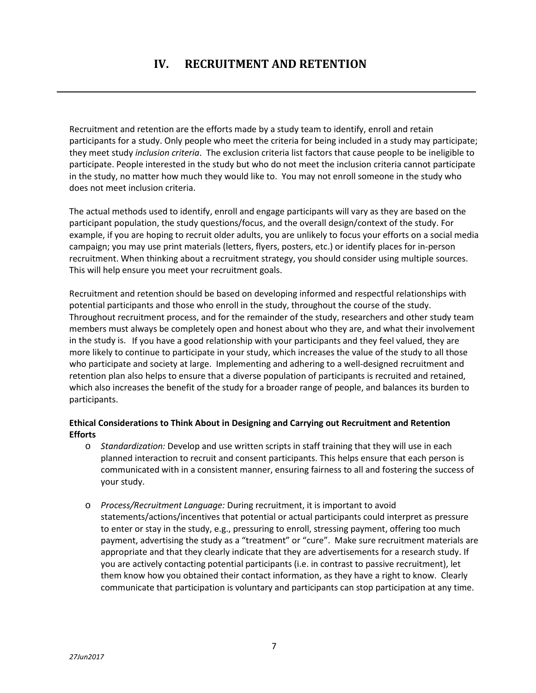Recruitment and retention are the efforts made by a study team to identify, enroll and retain participants for a study. Only people who meet the criteria for being included in a study may participate; they meet study *inclusion criteria*. The exclusion criteria list factors that cause people to be ineligible to participate. People interested in the study but who do not meet the inclusion criteria cannot participate in the study, no matter how much they would like to. You may not enroll someone in the study who does not meet inclusion criteria.

The actual methods used to identify, enroll and engage participants will vary as they are based on the participant population, the study questions/focus, and the overall design/context of the study. For example, if you are hoping to recruit older adults, you are unlikely to focus your efforts on a social media campaign; you may use print materials (letters, flyers, posters, etc.) or identify places for in-person recruitment. When thinking about a recruitment strategy, you should consider using multiple sources. This will help ensure you meet your recruitment goals.

Recruitment and retention should be based on developing informed and respectful relationships with potential participants and those who enroll in the study, throughout the course of the study. Throughout recruitment process, and for the remainder of the study, researchers and other study team members must always be completely open and honest about who they are, and what their involvement in the study is. If you have a good relationship with your participants and they feel valued, they are more likely to continue to participate in your study, which increases the value of the study to all those who participate and society at large. Implementing and adhering to a well-designed recruitment and retention plan also helps to ensure that a diverse population of participants is recruited and retained, which also increases the benefit of the study for a broader range of people, and balances its burden to participants.

# **Ethical Considerations to Think About in Designing and Carrying out Recruitment and Retention Efforts**

- o *Standardization:* Develop and use written scripts in staff training that they will use in each planned interaction to recruit and consent participants. This helps ensure that each person is communicated with in a consistent manner, ensuring fairness to all and fostering the success of your study.
- o *Process/Recruitment Language:* During recruitment, it is important to avoid statements/actions/incentives that potential or actual participants could interpret as pressure to enter or stay in the study, e.g., pressuring to enroll, stressing payment, offering too much payment, advertising the study as a "treatment" or "cure". Make sure recruitment materials are appropriate and that they clearly indicate that they are advertisements for a research study. If you are actively contacting potential participants (i.e. in contrast to passive recruitment), let them know how you obtained their contact information, as they have a right to know. Clearly communicate that participation is voluntary and participants can stop participation at any time.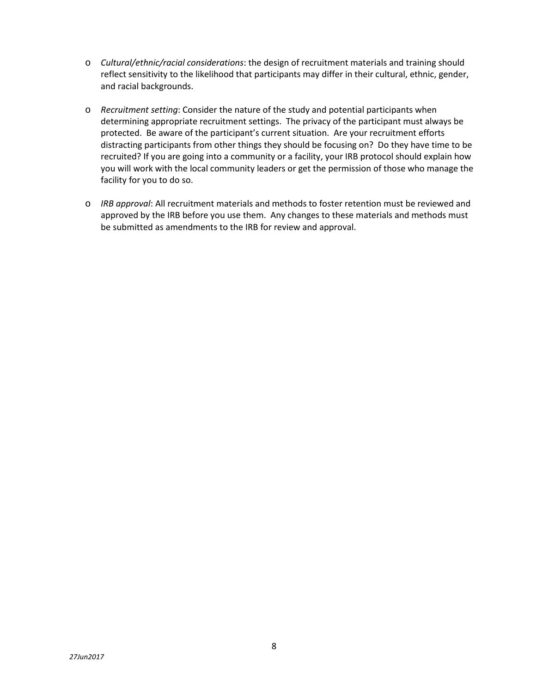- o *Cultural/ethnic/racial considerations*: the design of recruitment materials and training should reflect sensitivity to the likelihood that participants may differ in their cultural, ethnic, gender, and racial backgrounds.
- o *Recruitment setting*: Consider the nature of the study and potential participants when determining appropriate recruitment settings. The privacy of the participant must always be protected. Be aware of the participant's current situation. Are your recruitment efforts distracting participants from other things they should be focusing on? Do they have time to be recruited? If you are going into a community or a facility, your IRB protocol should explain how you will work with the local community leaders or get the permission of those who manage the facility for you to do so.
- o *IRB approval*: All recruitment materials and methods to foster retention must be reviewed and approved by the IRB before you use them. Any changes to these materials and methods must be submitted as amendments to the IRB for review and approval.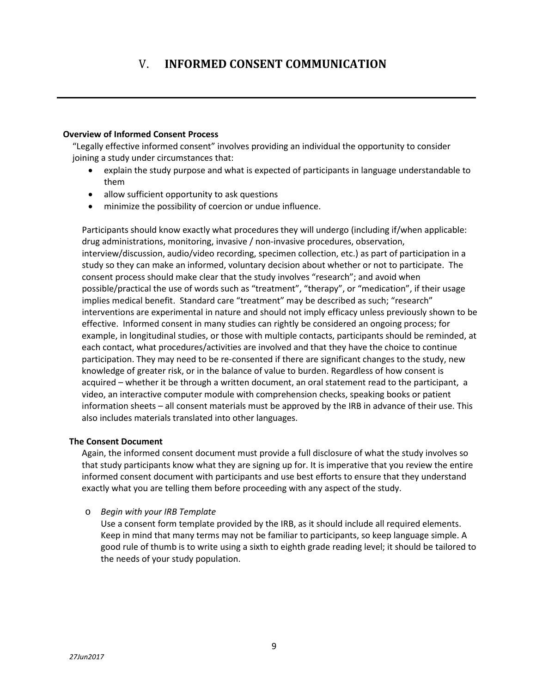# V. **INFORMED CONSENT COMMUNICATION**

# **Overview of Informed Consent Process**

"Legally effective informed consent" involves providing an individual the opportunity to consider joining a study under circumstances that:

- explain the study purpose and what is expected of participants in language understandable to them
- allow sufficient opportunity to ask questions
- minimize the possibility of coercion or undue influence.

Participants should know exactly what procedures they will undergo (including if/when applicable: drug administrations, monitoring, invasive / non-invasive procedures, observation, interview/discussion, audio/video recording, specimen collection, etc.) as part of participation in a study so they can make an informed, voluntary decision about whether or not to participate. The consent process should make clear that the study involves "research"; and avoid when possible/practical the use of words such as "treatment", "therapy", or "medication", if their usage implies medical benefit. Standard care "treatment" may be described as such; "research" interventions are experimental in nature and should not imply efficacy unless previously shown to be effective. Informed consent in many studies can rightly be considered an ongoing process; for example, in longitudinal studies, or those with multiple contacts, participants should be reminded, at each contact, what procedures/activities are involved and that they have the choice to continue participation. They may need to be re-consented if there are significant changes to the study, new knowledge of greater risk, or in the balance of value to burden. Regardless of how consent is acquired – whether it be through a written document, an oral statement read to the participant, a video, an interactive computer module with comprehension checks, speaking books or patient information sheets – all consent materials must be approved by the IRB in advance of their use. This also includes materials translated into other languages.

# **The Consent Document**

Again, the informed consent document must provide a full disclosure of what the study involves so that study participants know what they are signing up for. It is imperative that you review the entire informed consent document with participants and use best efforts to ensure that they understand exactly what you are telling them before proceeding with any aspect of the study.

o *Begin with your IRB Template*

Use a consent form template provided by the IRB, as it should include all required elements. Keep in mind that many terms may not be familiar to participants, so keep language simple. A good rule of thumb is to write using a sixth to eighth grade reading level; it should be tailored to the needs of your study population.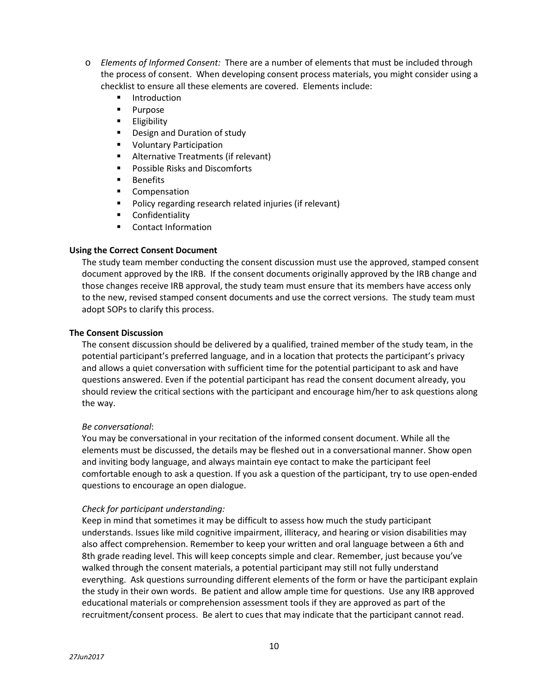- o *Elements of Informed Consent:* There are a number of elements that must be included through the process of consent. When developing consent process materials, you might consider using a checklist to ensure all these elements are covered. Elements include:
	- **Introduction**
	- **Purpose**
	- **Eligibility**
	- **Design and Duration of study**
	- **Voluntary Participation**
	- **Alternative Treatments (if relevant)**
	- **Possible Risks and Discomforts**
	- **Benefits**
	- **Compensation**
	- Policy regarding research related injuries (if relevant)
	- Confidentiality
	- Contact Information

# **Using the Correct Consent Document**

The study team member conducting the consent discussion must use the approved, stamped consent document approved by the IRB. If the consent documents originally approved by the IRB change and those changes receive IRB approval, the study team must ensure that its members have access only to the new, revised stamped consent documents and use the correct versions. The study team must adopt SOPs to clarify this process.

# **The Consent Discussion**

The consent discussion should be delivered by a qualified, trained member of the study team, in the potential participant's preferred language, and in a location that protects the participant's privacy and allows a quiet conversation with sufficient time for the potential participant to ask and have questions answered. Even if the potential participant has read the consent document already, you should review the critical sections with the participant and encourage him/her to ask questions along the way.

# *Be conversational*:

You may be conversational in your recitation of the informed consent document. While all the elements must be discussed, the details may be fleshed out in a conversational manner. Show open and inviting body language, and always maintain eye contact to make the participant feel comfortable enough to ask a question. If you ask a question of the participant, try to use open-ended questions to encourage an open dialogue.

# *Check for participant understanding:*

Keep in mind that sometimes it may be difficult to assess how much the study participant understands. Issues like mild cognitive impairment, illiteracy, and hearing or vision disabilities may also affect comprehension. Remember to keep your written and oral language between a 6th and 8th grade reading level. This will keep concepts simple and clear. Remember, just because you've walked through the consent materials, a potential participant may still not fully understand everything. Ask questions surrounding different elements of the form or have the participant explain the study in their own words. Be patient and allow ample time for questions. Use any IRB approved educational materials or comprehension assessment tools if they are approved as part of the recruitment/consent process. Be alert to cues that may indicate that the participant cannot read.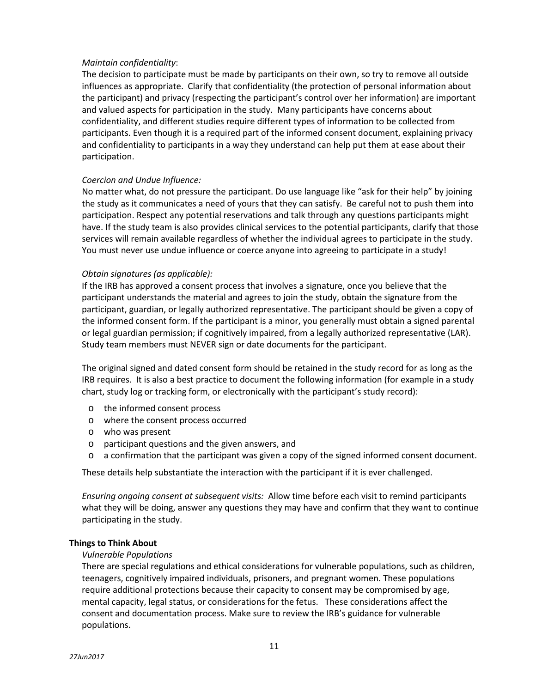# *Maintain confidentiality*:

The decision to participate must be made by participants on their own, so try to remove all outside influences as appropriate. Clarify that confidentiality (the protection of personal information about the participant) and privacy (respecting the participant's control over her information) are important and valued aspects for participation in the study. Many participants have concerns about confidentiality, and different studies require different types of information to be collected from participants. Even though it is a required part of the informed consent document, explaining privacy and confidentiality to participants in a way they understand can help put them at ease about their participation.

# *Coercion and Undue Influence:*

No matter what, do not pressure the participant. Do use language like "ask for their help" by joining the study as it communicates a need of yours that they can satisfy. Be careful not to push them into participation. Respect any potential reservations and talk through any questions participants might have. If the study team is also provides clinical services to the potential participants, clarify that those services will remain available regardless of whether the individual agrees to participate in the study. You must never use undue influence or coerce anyone into agreeing to participate in a study!

#### *Obtain signatures (as applicable):*

If the IRB has approved a consent process that involves a signature, once you believe that the participant understands the material and agrees to join the study, obtain the signature from the participant, guardian, or legally authorized representative. The participant should be given a copy of the informed consent form. If the participant is a minor, you generally must obtain a signed parental or legal guardian permission; if cognitively impaired, from a legally authorized representative (LAR). Study team members must NEVER sign or date documents for the participant.

The original signed and dated consent form should be retained in the study record for as long as the IRB requires. It is also a best practice to document the following information (for example in a study chart, study log or tracking form, or electronically with the participant's study record):

- o the informed consent process
- o where the consent process occurred
- o who was present
- o participant questions and the given answers, and
- o a confirmation that the participant was given a copy of the signed informed consent document.

These details help substantiate the interaction with the participant if it is ever challenged.

*Ensuring ongoing consent at subsequent visits:* Allow time before each visit to remind participants what they will be doing, answer any questions they may have and confirm that they want to continue participating in the study.

#### **Things to Think About**

#### *Vulnerable Populations*

There are special regulations and ethical considerations for vulnerable populations, such as children, teenagers, cognitively impaired individuals, prisoners, and pregnant women. These populations require additional protections because their capacity to consent may be compromised by age, mental capacity, legal status, or considerations for the fetus. These considerations affect the consent and documentation process. Make sure to review the IRB's guidance for vulnerable populations.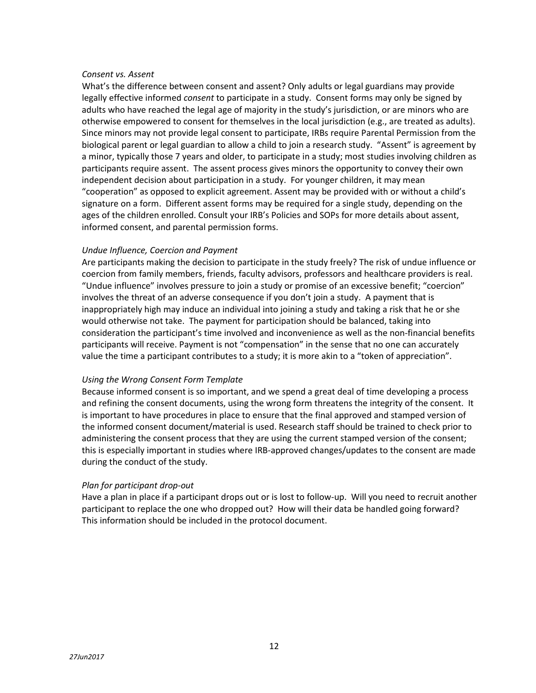#### *Consent vs. Assent*

What's the difference between consent and assent? Only adults or legal guardians may provide legally effective informed *consent* to participate in a study. Consent forms may only be signed by adults who have reached the legal age of majority in the study's jurisdiction, or are minors who are otherwise empowered to consent for themselves in the local jurisdiction (e.g., are treated as adults). Since minors may not provide legal consent to participate, IRBs require Parental Permission from the biological parent or legal guardian to allow a child to join a research study. "Assent" is agreement by a minor, typically those 7 years and older, to participate in a study; most studies involving children as participants require assent. The assent process gives minors the opportunity to convey their own independent decision about participation in a study. For younger children, it may mean "cooperation" as opposed to explicit agreement. Assent may be provided with or without a child's signature on a form. Different assent forms may be required for a single study, depending on the ages of the children enrolled. Consult your IRB's Policies and SOPs for more details about assent, informed consent, and parental permission forms.

# *Undue Influence, Coercion and Payment*

Are participants making the decision to participate in the study freely? The risk of undue influence or coercion from family members, friends, faculty advisors, professors and healthcare providers is real. "Undue influence" involves pressure to join a study or promise of an excessive benefit; "coercion" involves the threat of an adverse consequence if you don't join a study. A payment that is inappropriately high may induce an individual into joining a study and taking a risk that he or she would otherwise not take. The payment for participation should be balanced, taking into consideration the participant's time involved and inconvenience as well as the non-financial benefits participants will receive. Payment is not "compensation" in the sense that no one can accurately value the time a participant contributes to a study; it is more akin to a "token of appreciation".

#### *Using the Wrong Consent Form Template*

Because informed consent is so important, and we spend a great deal of time developing a process and refining the consent documents, using the wrong form threatens the integrity of the consent. It is important to have procedures in place to ensure that the final approved and stamped version of the informed consent document/material is used. Research staff should be trained to check prior to administering the consent process that they are using the current stamped version of the consent; this is especially important in studies where IRB-approved changes/updates to the consent are made during the conduct of the study.

#### *Plan for participant drop-out*

Have a plan in place if a participant drops out or is lost to follow-up. Will you need to recruit another participant to replace the one who dropped out? How will their data be handled going forward? This information should be included in the protocol document.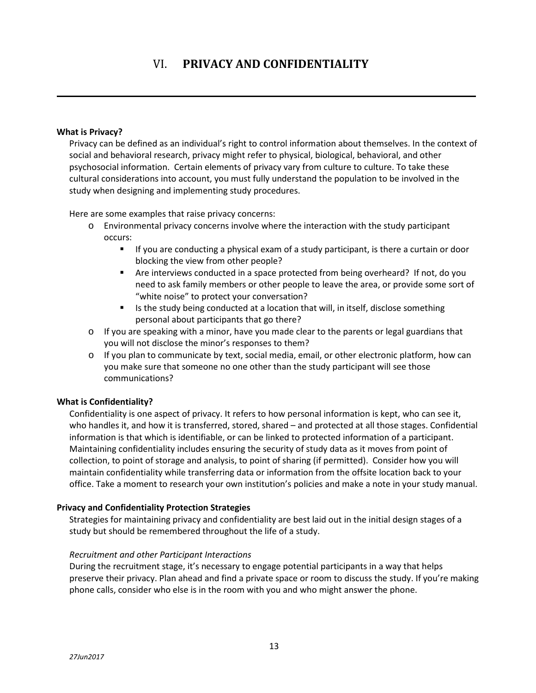# VI. **PRIVACY AND CONFIDENTIALITY**

#### **What is Privacy?**

Privacy can be defined as an individual's right to control information about themselves. In the context of social and behavioral research, privacy might refer to physical, biological, behavioral, and other psychosocial information. Certain elements of privacy vary from culture to culture. To take these cultural considerations into account, you must fully understand the population to be involved in the study when designing and implementing study procedures.

Here are some examples that raise privacy concerns:

- o Environmental privacy concerns involve where the interaction with the study participant occurs:
	- **If you are conducting a physical exam of a study participant, is there a curtain or door** blocking the view from other people?
	- Are interviews conducted in a space protected from being overheard? If not, do you need to ask family members or other people to leave the area, or provide some sort of "white noise" to protect your conversation?
	- Is the study being conducted at a location that will, in itself, disclose something personal about participants that go there?
- o If you are speaking with a minor, have you made clear to the parents or legal guardians that you will not disclose the minor's responses to them?
- o If you plan to communicate by text, social media, email, or other electronic platform, how can you make sure that someone no one other than the study participant will see those communications?

# **What is Confidentiality?**

Confidentiality is one aspect of privacy. It refers to how personal information is kept, who can see it, who handles it, and how it is transferred, stored, shared – and protected at all those stages. Confidential information is that which is identifiable, or can be linked to protected information of a participant. Maintaining confidentiality includes ensuring the security of study data as it moves from point of collection, to point of storage and analysis, to point of sharing (if permitted). Consider how you will maintain confidentiality while transferring data or information from the offsite location back to your office. Take a moment to research your own institution's policies and make a note in your study manual.

#### **Privacy and Confidentiality Protection Strategies**

Strategies for maintaining privacy and confidentiality are best laid out in the initial design stages of a study but should be remembered throughout the life of a study.

# *Recruitment and other Participant Interactions*

During the recruitment stage, it's necessary to engage potential participants in a way that helps preserve their privacy. Plan ahead and find a private space or room to discuss the study. If you're making phone calls, consider who else is in the room with you and who might answer the phone.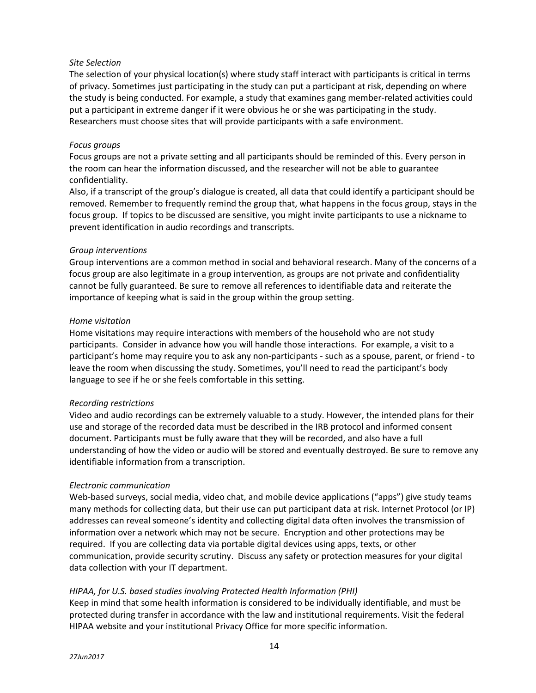# *Site Selection*

The selection of your physical location(s) where study staff interact with participants is critical in terms of privacy. Sometimes just participating in the study can put a participant at risk, depending on where the study is being conducted. For example, a study that examines gang member-related activities could put a participant in extreme danger if it were obvious he or she was participating in the study. Researchers must choose sites that will provide participants with a safe environment.

#### *Focus groups*

Focus groups are not a private setting and all participants should be reminded of this. Every person in the room can hear the information discussed, and the researcher will not be able to guarantee confidentiality.

Also, if a transcript of the group's dialogue is created, all data that could identify a participant should be removed. Remember to frequently remind the group that, what happens in the focus group, stays in the focus group. If topics to be discussed are sensitive, you might invite participants to use a nickname to prevent identification in audio recordings and transcripts.

#### *Group interventions*

Group interventions are a common method in social and behavioral research. Many of the concerns of a focus group are also legitimate in a group intervention, as groups are not private and confidentiality cannot be fully guaranteed. Be sure to remove all references to identifiable data and reiterate the importance of keeping what is said in the group within the group setting.

#### *Home visitation*

Home visitations may require interactions with members of the household who are not study participants. Consider in advance how you will handle those interactions. For example, a visit to a participant's home may require you to ask any non-participants - such as a spouse, parent, or friend - to leave the room when discussing the study. Sometimes, you'll need to read the participant's body language to see if he or she feels comfortable in this setting.

# *Recording restrictions*

Video and audio recordings can be extremely valuable to a study. However, the intended plans for their use and storage of the recorded data must be described in the IRB protocol and informed consent document. Participants must be fully aware that they will be recorded, and also have a full understanding of how the video or audio will be stored and eventually destroyed. Be sure to remove any identifiable information from a transcription.

# *Electronic communication*

Web-based surveys, social media, video chat, and mobile device applications ("apps") give study teams many methods for collecting data, but their use can put participant data at risk. Internet Protocol (or IP) addresses can reveal someone's identity and collecting digital data often involves the transmission of information over a network which may not be secure. Encryption and other protections may be required. If you are collecting data via portable digital devices using apps, texts, or other communication, provide security scrutiny. Discuss any safety or protection measures for your digital data collection with your IT department.

# *HIPAA, for U.S. based studies involving Protected Health Information (PHI)*

Keep in mind that some health information is considered to be individually identifiable, and must be protected during transfer in accordance with the law and institutional requirements. Visit the federal HIPAA website and your institutional Privacy Office for more specific information.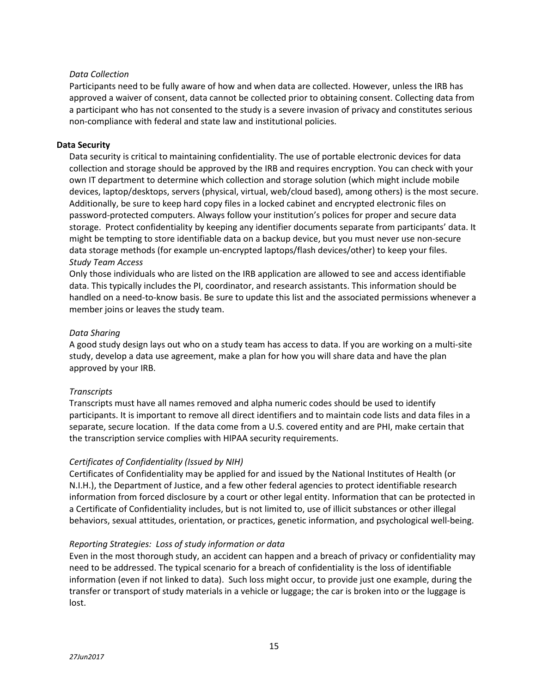# *Data Collection*

Participants need to be fully aware of how and when data are collected. However, unless the IRB has approved a waiver of consent, data cannot be collected prior to obtaining consent. Collecting data from a participant who has not consented to the study is a severe invasion of privacy and constitutes serious non-compliance with federal and state law and institutional policies.

# **Data Security**

Data security is critical to maintaining confidentiality. The use of portable electronic devices for data collection and storage should be approved by the IRB and requires encryption. You can check with your own IT department to determine which collection and storage solution (which might include mobile devices, laptop/desktops, servers (physical, virtual, web/cloud based), among others) is the most secure. Additionally, be sure to keep hard copy files in a locked cabinet and encrypted electronic files on password-protected computers. Always follow your institution's polices for proper and secure data storage. Protect confidentiality by keeping any identifier documents separate from participants' data. It might be tempting to store identifiable data on a backup device, but you must never use non-secure data storage methods (for example un-encrypted laptops/flash devices/other) to keep your files. *Study Team Access*

Only those individuals who are listed on the IRB application are allowed to see and access identifiable data. This typically includes the PI, coordinator, and research assistants. This information should be handled on a need-to-know basis. Be sure to update this list and the associated permissions whenever a member joins or leaves the study team.

# *Data Sharing*

A good study design lays out who on a study team has access to data. If you are working on a multi-site study, develop a data use agreement, make a plan for how you will share data and have the plan approved by your IRB.

# *Transcripts*

Transcripts must have all names removed and alpha numeric codes should be used to identify participants. It is important to remove all direct identifiers and to maintain code lists and data files in a separate, secure location. If the data come from a U.S. covered entity and are PHI, make certain that the transcription service complies with HIPAA security requirements.

# *Certificates of Confidentiality (Issued by NIH)*

Certificates of Confidentiality may be applied for and issued by the National Institutes of Health (or N.I.H.), the Department of Justice, and a few other federal agencies to protect identifiable research information from forced disclosure by a court or other legal entity. Information that can be protected in a Certificate of Confidentiality includes, but is not limited to, use of illicit substances or other illegal behaviors, sexual attitudes, orientation, or practices, genetic information, and psychological well-being.

# *Reporting Strategies: Loss of study information or data*

Even in the most thorough study, an accident can happen and a breach of privacy or confidentiality may need to be addressed. The typical scenario for a breach of confidentiality is the loss of identifiable information (even if not linked to data). Such loss might occur, to provide just one example, during the transfer or transport of study materials in a vehicle or luggage; the car is broken into or the luggage is lost.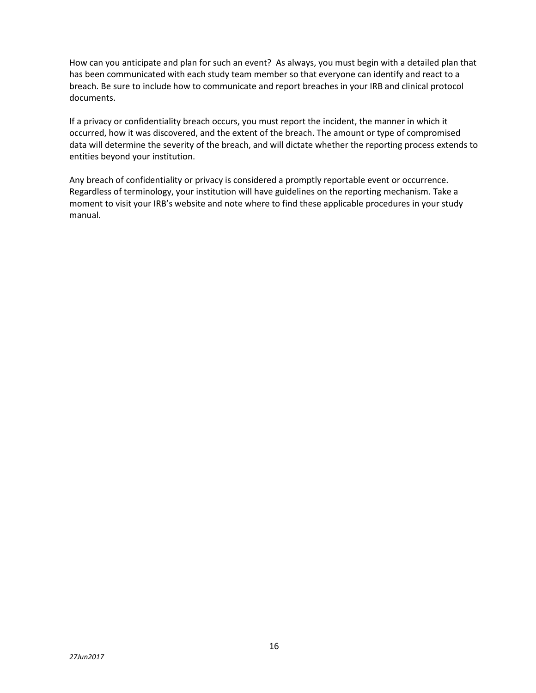How can you anticipate and plan for such an event? As always, you must begin with a detailed plan that has been communicated with each study team member so that everyone can identify and react to a breach. Be sure to include how to communicate and report breaches in your IRB and clinical protocol documents.

If a privacy or confidentiality breach occurs, you must report the incident, the manner in which it occurred, how it was discovered, and the extent of the breach. The amount or type of compromised data will determine the severity of the breach, and will dictate whether the reporting process extends to entities beyond your institution.

Any breach of confidentiality or privacy is considered a promptly reportable event or occurrence. Regardless of terminology, your institution will have guidelines on the reporting mechanism. Take a moment to visit your IRB's website and note where to find these applicable procedures in your study manual.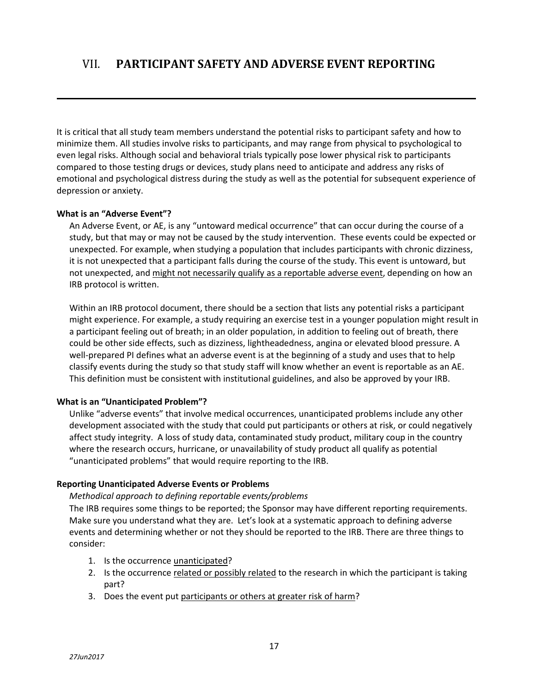It is critical that all study team members understand the potential risks to participant safety and how to minimize them. All studies involve risks to participants, and may range from physical to psychological to even legal risks. Although social and behavioral trials typically pose lower physical risk to participants compared to those testing drugs or devices, study plans need to anticipate and address any risks of emotional and psychological distress during the study as well as the potential for subsequent experience of depression or anxiety.

# **What is an "Adverse Event"?**

An Adverse Event, or AE, is any "untoward medical occurrence" that can occur during the course of a study, but that may or may not be caused by the study intervention. These events could be expected or unexpected. For example, when studying a population that includes participants with chronic dizziness, it is not unexpected that a participant falls during the course of the study. This event is untoward, but not unexpected, and might not necessarily qualify as a reportable adverse event, depending on how an IRB protocol is written.

Within an IRB protocol document, there should be a section that lists any potential risks a participant might experience. For example, a study requiring an exercise test in a younger population might result in a participant feeling out of breath; in an older population, in addition to feeling out of breath, there could be other side effects, such as dizziness, lightheadedness, angina or elevated blood pressure. A well-prepared PI defines what an adverse event is at the beginning of a study and uses that to help classify events during the study so that study staff will know whether an event is reportable as an AE. This definition must be consistent with institutional guidelines, and also be approved by your IRB.

# **What is an "Unanticipated Problem"?**

Unlike "adverse events" that involve medical occurrences, unanticipated problems include any other development associated with the study that could put participants or others at risk, or could negatively affect study integrity. A loss of study data, contaminated study product, military coup in the country where the research occurs, hurricane, or unavailability of study product all qualify as potential "unanticipated problems" that would require reporting to the IRB.

# **Reporting Unanticipated Adverse Events or Problems**

# *Methodical approach to defining reportable events/problems*

The IRB requires some things to be reported; the Sponsor may have different reporting requirements. Make sure you understand what they are. Let's look at a systematic approach to defining adverse events and determining whether or not they should be reported to the IRB. There are three things to consider:

- 1. Is the occurrence unanticipated?
- 2. Is the occurrence related or possibly related to the research in which the participant is taking part?
- 3. Does the event put participants or others at greater risk of harm?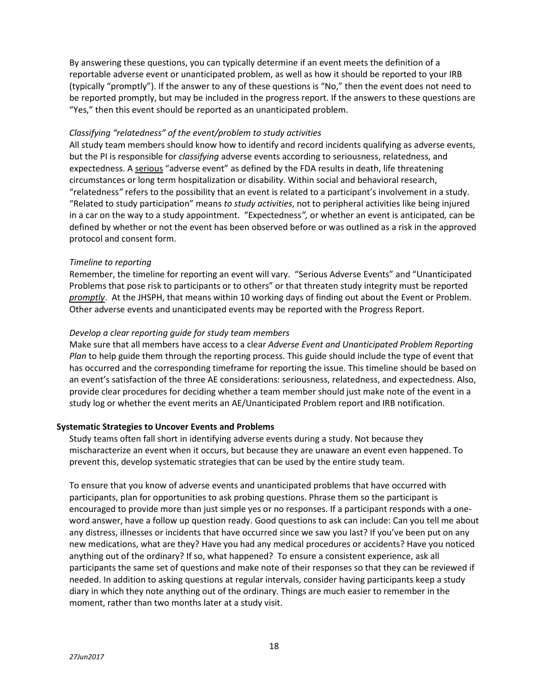By answering these questions, you can typically determine if an event meets the definition of a reportable adverse event or unanticipated problem, as well as how it should be reported to your IRB (typically "promptly"). If the answer to any of these questions is "No," then the event does not need to be reported promptly, but may be included in the progress report. If the answers to these questions are "Yes," then this event should be reported as an unanticipated problem.

#### *Classifying "relatedness" of the event/problem to study activities*

All study team members should know how to identify and record incidents qualifying as adverse events, but the PI is responsible for *classifying* adverse events according to seriousness, relatedness, and expectedness. A serious "adverse event" as defined by the FDA results in death, life threatening circumstances or long term hospitalization or disability. Within social and behavioral research, "relatedness*"* refers to the possibility that an event is related to a participant's involvement in a study. "Related to study participation" means *to study activities*, not to peripheral activities like being injured in a car on the way to a study appointment. "Expectedness*",* or whether an event is anticipated*,* can be defined by whether or not the event has been observed before or was outlined as a risk in the approved protocol and consent form.

# *Timeline to reporting*

Remember, the timeline for reporting an event will vary. "Serious Adverse Events" and "Unanticipated Problems that pose risk to participants or to others" or that threaten study integrity must be reported *promptly*. At the JHSPH, that means within 10 working days of finding out about the Event or Problem. Other adverse events and unanticipated events may be reported with the Progress Report.

# *Develop a clear reporting guide for study team members*

Make sure that all members have access to a clear *Adverse Event and Unanticipated Problem Reporting Plan* to help guide them through the reporting process. This guide should include the type of event that has occurred and the corresponding timeframe for reporting the issue. This timeline should be based on an event's satisfaction of the three AE considerations: seriousness, relatedness, and expectedness. Also, provide clear procedures for deciding whether a team member should just make note of the event in a study log or whether the event merits an AE/Unanticipated Problem report and IRB notification.

# **Systematic Strategies to Uncover Events and Problems**

Study teams often fall short in identifying adverse events during a study. Not because they mischaracterize an event when it occurs, but because they are unaware an event even happened. To prevent this, develop systematic strategies that can be used by the entire study team.

To ensure that you know of adverse events and unanticipated problems that have occurred with participants, plan for opportunities to ask probing questions. Phrase them so the participant is encouraged to provide more than just simple yes or no responses. If a participant responds with a oneword answer, have a follow up question ready. Good questions to ask can include: Can you tell me about any distress, illnesses or incidents that have occurred since we saw you last? If you've been put on any new medications, what are they? Have you had any medical procedures or accidents? Have you noticed anything out of the ordinary? If so, what happened? To ensure a consistent experience, ask all participants the same set of questions and make note of their responses so that they can be reviewed if needed. In addition to asking questions at regular intervals, consider having participants keep a study diary in which they note anything out of the ordinary. Things are much easier to remember in the moment, rather than two months later at a study visit.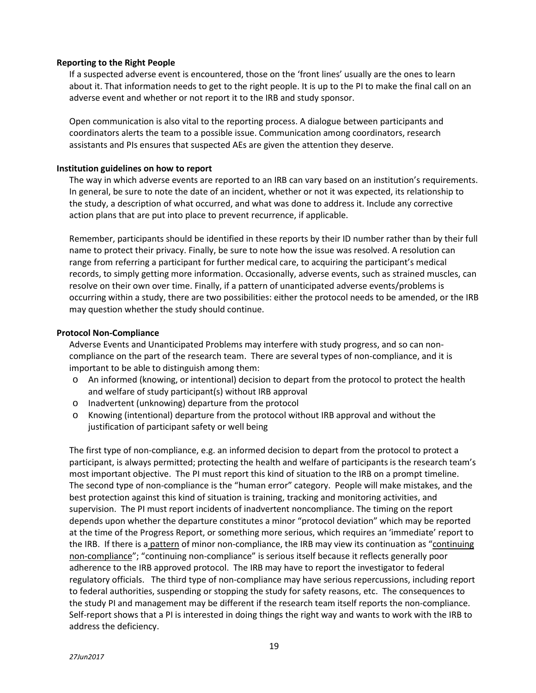#### **Reporting to the Right People**

If a suspected adverse event is encountered, those on the 'front lines' usually are the ones to learn about it. That information needs to get to the right people. It is up to the PI to make the final call on an adverse event and whether or not report it to the IRB and study sponsor.

Open communication is also vital to the reporting process. A dialogue between participants and coordinators alerts the team to a possible issue. Communication among coordinators, research assistants and PIs ensures that suspected AEs are given the attention they deserve.

#### **Institution guidelines on how to report**

The way in which adverse events are reported to an IRB can vary based on an institution's requirements. In general, be sure to note the date of an incident, whether or not it was expected, its relationship to the study, a description of what occurred, and what was done to address it. Include any corrective action plans that are put into place to prevent recurrence, if applicable.

Remember, participants should be identified in these reports by their ID number rather than by their full name to protect their privacy. Finally, be sure to note how the issue was resolved. A resolution can range from referring a participant for further medical care, to acquiring the participant's medical records, to simply getting more information. Occasionally, adverse events, such as strained muscles, can resolve on their own over time. Finally, if a pattern of unanticipated adverse events/problems is occurring within a study, there are two possibilities: either the protocol needs to be amended, or the IRB may question whether the study should continue.

#### **Protocol Non-Compliance**

Adverse Events and Unanticipated Problems may interfere with study progress, and so can noncompliance on the part of the research team. There are several types of non-compliance, and it is important to be able to distinguish among them:

- o An informed (knowing, or intentional) decision to depart from the protocol to protect the health and welfare of study participant(s) without IRB approval
- o Inadvertent (unknowing) departure from the protocol
- o Knowing (intentional) departure from the protocol without IRB approval and without the justification of participant safety or well being

The first type of non-compliance, e.g. an informed decision to depart from the protocol to protect a participant, is always permitted; protecting the health and welfare of participants is the research team's most important objective. The PI must report this kind of situation to the IRB on a prompt timeline. The second type of non-compliance is the "human error" category. People will make mistakes, and the best protection against this kind of situation is training, tracking and monitoring activities, and supervision. The PI must report incidents of inadvertent noncompliance. The timing on the report depends upon whether the departure constitutes a minor "protocol deviation" which may be reported at the time of the Progress Report, or something more serious, which requires an 'immediate' report to the IRB. If there is a pattern of minor non-compliance, the IRB may view its continuation as "continuing non-compliance"; "continuing non-compliance" is serious itself because it reflects generally poor adherence to the IRB approved protocol. The IRB may have to report the investigator to federal regulatory officials. The third type of non-compliance may have serious repercussions, including report to federal authorities, suspending or stopping the study for safety reasons, etc. The consequences to the study PI and management may be different if the research team itself reports the non-compliance. Self-report shows that a PI is interested in doing things the right way and wants to work with the IRB to address the deficiency.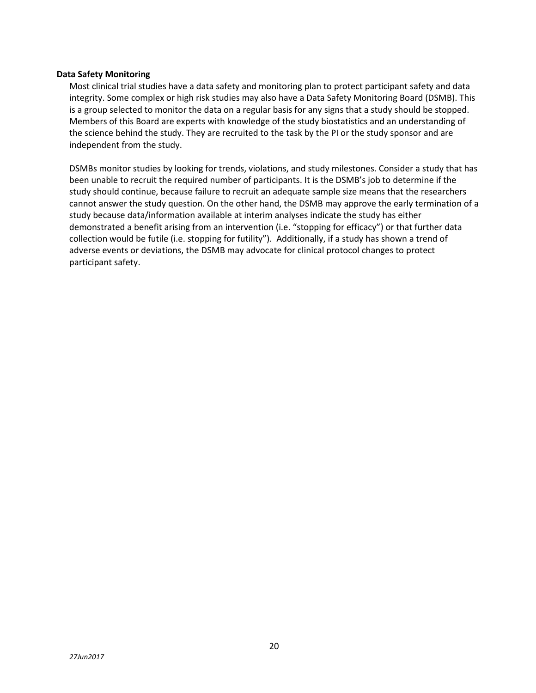#### **Data Safety Monitoring**

Most clinical trial studies have a data safety and monitoring plan to protect participant safety and data integrity. Some complex or high risk studies may also have a Data Safety Monitoring Board (DSMB). This is a group selected to monitor the data on a regular basis for any signs that a study should be stopped. Members of this Board are experts with knowledge of the study biostatistics and an understanding of the science behind the study. They are recruited to the task by the PI or the study sponsor and are independent from the study.

DSMBs monitor studies by looking for trends, violations, and study milestones. Consider a study that has been unable to recruit the required number of participants. It is the DSMB's job to determine if the study should continue, because failure to recruit an adequate sample size means that the researchers cannot answer the study question. On the other hand, the DSMB may approve the early termination of a study because data/information available at interim analyses indicate the study has either demonstrated a benefit arising from an intervention (i.e. "stopping for efficacy") or that further data collection would be futile (i.e. stopping for futility"). Additionally, if a study has shown a trend of adverse events or deviations, the DSMB may advocate for clinical protocol changes to protect participant safety.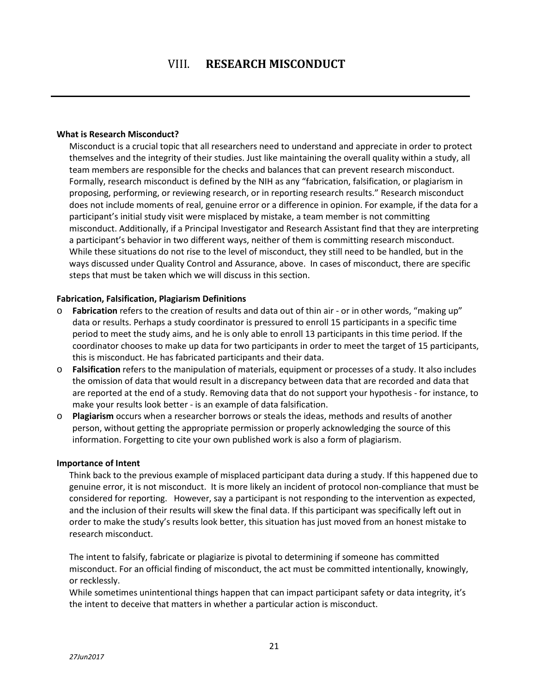#### **What is Research Misconduct?**

Misconduct is a crucial topic that all researchers need to understand and appreciate in order to protect themselves and the integrity of their studies. Just like maintaining the overall quality within a study, all team members are responsible for the checks and balances that can prevent research misconduct. Formally, research misconduct is defined by the NIH as any "fabrication, falsification, or plagiarism in proposing, performing, or reviewing research, or in reporting research results." Research misconduct does not include moments of real, genuine error or a difference in opinion. For example, if the data for a participant's initial study visit were misplaced by mistake, a team member is not committing misconduct. Additionally, if a Principal Investigator and Research Assistant find that they are interpreting a participant's behavior in two different ways, neither of them is committing research misconduct. While these situations do not rise to the level of misconduct, they still need to be handled, but in the ways discussed under Quality Control and Assurance, above. In cases of misconduct, there are specific steps that must be taken which we will discuss in this section.

# **Fabrication, Falsification, Plagiarism Definitions**

- o **Fabrication** refers to the creation of results and data out of thin air or in other words, "making up" data or results. Perhaps a study coordinator is pressured to enroll 15 participants in a specific time period to meet the study aims, and he is only able to enroll 13 participants in this time period. If the coordinator chooses to make up data for two participants in order to meet the target of 15 participants, this is misconduct. He has fabricated participants and their data.
- o **Falsification** refers to the manipulation of materials, equipment or processes of a study. It also includes the omission of data that would result in a discrepancy between data that are recorded and data that are reported at the end of a study. Removing data that do not support your hypothesis - for instance, to make your results look better - is an example of data falsification.
- o **Plagiarism** occurs when a researcher borrows or steals the ideas, methods and results of another person, without getting the appropriate permission or properly acknowledging the source of this information. Forgetting to cite your own published work is also a form of plagiarism.

#### **Importance of Intent**

Think back to the previous example of misplaced participant data during a study. If this happened due to genuine error, it is not misconduct. It is more likely an incident of protocol non-compliance that must be considered for reporting. However, say a participant is not responding to the intervention as expected, and the inclusion of their results will skew the final data. If this participant was specifically left out in order to make the study's results look better, this situation has just moved from an honest mistake to research misconduct.

The intent to falsify, fabricate or plagiarize is pivotal to determining if someone has committed misconduct. For an official finding of misconduct, the act must be committed intentionally, knowingly, or recklessly.

While sometimes unintentional things happen that can impact participant safety or data integrity, it's the intent to deceive that matters in whether a particular action is misconduct.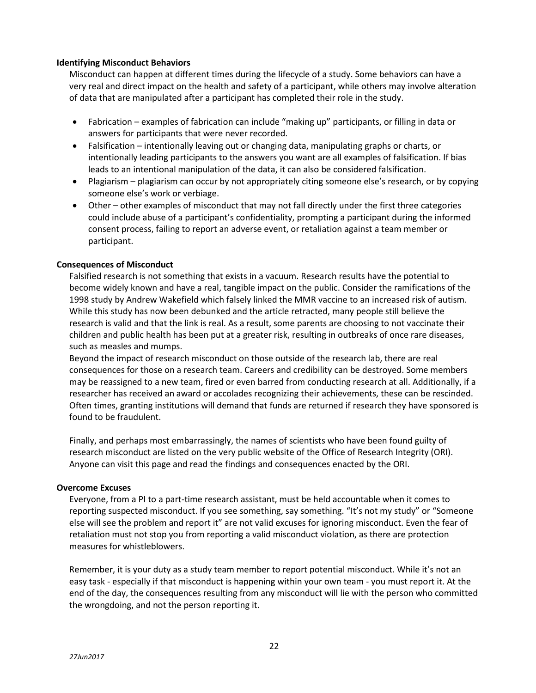# **Identifying Misconduct Behaviors**

Misconduct can happen at different times during the lifecycle of a study. Some behaviors can have a very real and direct impact on the health and safety of a participant, while others may involve alteration of data that are manipulated after a participant has completed their role in the study.

- Fabrication examples of fabrication can include "making up" participants, or filling in data or answers for participants that were never recorded.
- Falsification intentionally leaving out or changing data, manipulating graphs or charts, or intentionally leading participants to the answers you want are all examples of falsification. If bias leads to an intentional manipulation of the data, it can also be considered falsification.
- Plagiarism plagiarism can occur by not appropriately citing someone else's research, or by copying someone else's work or verbiage.
- Other other examples of misconduct that may not fall directly under the first three categories could include abuse of a participant's confidentiality, prompting a participant during the informed consent process, failing to report an adverse event, or retaliation against a team member or participant.

# **Consequences of Misconduct**

Falsified research is not something that exists in a vacuum. Research results have the potential to become widely known and have a real, tangible impact on the public. Consider the ramifications of the 1998 study by Andrew Wakefield which falsely linked the MMR vaccine to an increased risk of autism. While this study has now been debunked and the article retracted, many people still believe the research is valid and that the link is real. As a result, some parents are choosing to not vaccinate their children and public health has been put at a greater risk, resulting in outbreaks of once rare diseases, such as measles and mumps.

Beyond the impact of research misconduct on those outside of the research lab, there are real consequences for those on a research team. Careers and credibility can be destroyed. Some members may be reassigned to a new team, fired or even barred from conducting research at all. Additionally, if a researcher has received an award or accolades recognizing their achievements, these can be rescinded. Often times, granting institutions will demand that funds are returned if research they have sponsored is found to be fraudulent.

Finally, and perhaps most embarrassingly, the names of scientists who have been found guilty of research misconduct are listed on the very public website of the Office of Research Integrity (ORI). Anyone can visit this page and read the findings and consequences enacted by the ORI.

# **Overcome Excuses**

Everyone, from a PI to a part-time research assistant, must be held accountable when it comes to reporting suspected misconduct. If you see something, say something. "It's not my study" or "Someone else will see the problem and report it" are not valid excuses for ignoring misconduct. Even the fear of retaliation must not stop you from reporting a valid misconduct violation, as there are protection measures for whistleblowers.

Remember, it is your duty as a study team member to report potential misconduct. While it's not an easy task - especially if that misconduct is happening within your own team - you must report it. At the end of the day, the consequences resulting from any misconduct will lie with the person who committed the wrongdoing, and not the person reporting it.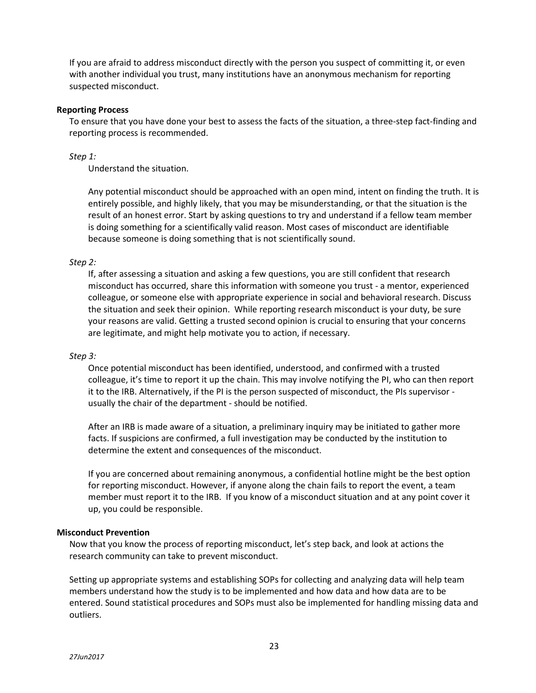If you are afraid to address misconduct directly with the person you suspect of committing it, or even with another individual you trust, many institutions have an anonymous mechanism for reporting suspected misconduct.

#### **Reporting Process**

To ensure that you have done your best to assess the facts of the situation, a three-step fact-finding and reporting process is recommended.

# *Step 1:*

Understand the situation.

Any potential misconduct should be approached with an open mind, intent on finding the truth. It is entirely possible, and highly likely, that you may be misunderstanding, or that the situation is the result of an honest error. Start by asking questions to try and understand if a fellow team member is doing something for a scientifically valid reason. Most cases of misconduct are identifiable because someone is doing something that is not scientifically sound.

# *Step 2:*

If, after assessing a situation and asking a few questions, you are still confident that research misconduct has occurred, share this information with someone you trust - a mentor, experienced colleague, or someone else with appropriate experience in social and behavioral research. Discuss the situation and seek their opinion. While reporting research misconduct is your duty, be sure your reasons are valid. Getting a trusted second opinion is crucial to ensuring that your concerns are legitimate, and might help motivate you to action, if necessary.

# *Step 3:*

Once potential misconduct has been identified, understood, and confirmed with a trusted colleague, it's time to report it up the chain. This may involve notifying the PI, who can then report it to the IRB. Alternatively, if the PI is the person suspected of misconduct, the PIs supervisor usually the chair of the department - should be notified.

After an IRB is made aware of a situation, a preliminary inquiry may be initiated to gather more facts. If suspicions are confirmed, a full investigation may be conducted by the institution to determine the extent and consequences of the misconduct.

If you are concerned about remaining anonymous, a confidential hotline might be the best option for reporting misconduct. However, if anyone along the chain fails to report the event, a team member must report it to the IRB. If you know of a misconduct situation and at any point cover it up, you could be responsible.

# **Misconduct Prevention**

Now that you know the process of reporting misconduct, let's step back, and look at actions the research community can take to prevent misconduct.

Setting up appropriate systems and establishing SOPs for collecting and analyzing data will help team members understand how the study is to be implemented and how data and how data are to be entered. Sound statistical procedures and SOPs must also be implemented for handling missing data and outliers.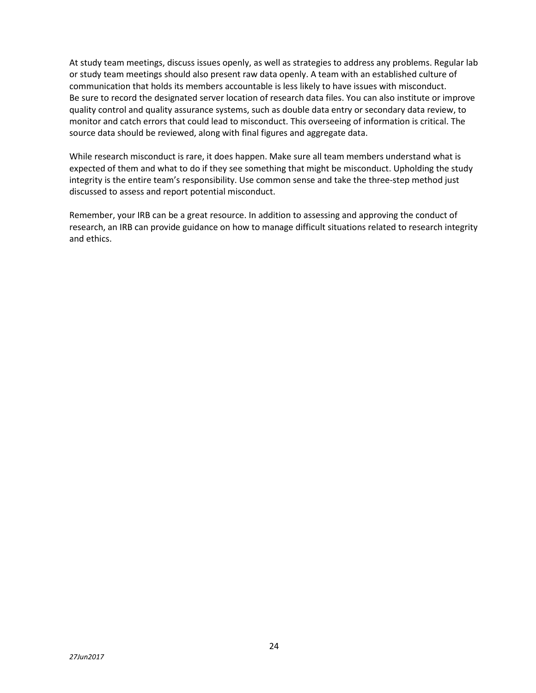At study team meetings, discuss issues openly, as well as strategies to address any problems. Regular lab or study team meetings should also present raw data openly. A team with an established culture of communication that holds its members accountable is less likely to have issues with misconduct. Be sure to record the designated server location of research data files. You can also institute or improve quality control and quality assurance systems, such as double data entry or secondary data review, to monitor and catch errors that could lead to misconduct. This overseeing of information is critical. The source data should be reviewed, along with final figures and aggregate data.

While research misconduct is rare, it does happen. Make sure all team members understand what is expected of them and what to do if they see something that might be misconduct. Upholding the study integrity is the entire team's responsibility. Use common sense and take the three-step method just discussed to assess and report potential misconduct.

Remember, your IRB can be a great resource. In addition to assessing and approving the conduct of research, an IRB can provide guidance on how to manage difficult situations related to research integrity and ethics.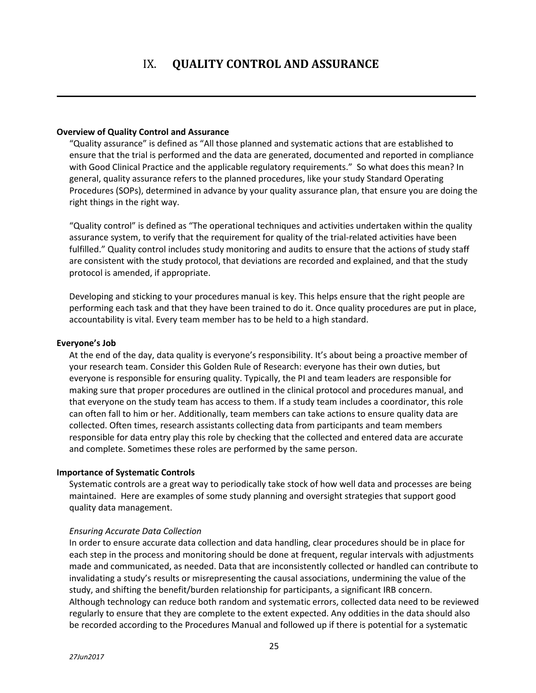# IX. **QUALITY CONTROL AND ASSURANCE**

#### **Overview of Quality Control and Assurance**

"Quality assurance" is defined as "All those planned and systematic actions that are established to ensure that the trial is performed and the data are generated, documented and reported in compliance with Good Clinical Practice and the applicable regulatory requirements." So what does this mean? In general, quality assurance refers to the planned procedures, like your study Standard Operating Procedures (SOPs), determined in advance by your quality assurance plan, that ensure you are doing the right things in the right way.

"Quality control" is defined as "The operational techniques and activities undertaken within the quality assurance system, to verify that the requirement for quality of the trial-related activities have been fulfilled." Quality control includes study monitoring and audits to ensure that the actions of study staff are consistent with the study protocol, that deviations are recorded and explained, and that the study protocol is amended, if appropriate.

Developing and sticking to your procedures manual is key. This helps ensure that the right people are performing each task and that they have been trained to do it. Once quality procedures are put in place, accountability is vital. Every team member has to be held to a high standard.

#### **Everyone's Job**

At the end of the day, data quality is everyone's responsibility. It's about being a proactive member of your research team. Consider this Golden Rule of Research: everyone has their own duties, but everyone is responsible for ensuring quality. Typically, the PI and team leaders are responsible for making sure that proper procedures are outlined in the clinical protocol and procedures manual, and that everyone on the study team has access to them. If a study team includes a coordinator, this role can often fall to him or her. Additionally, team members can take actions to ensure quality data are collected. Often times, research assistants collecting data from participants and team members responsible for data entry play this role by checking that the collected and entered data are accurate and complete. Sometimes these roles are performed by the same person.

#### **Importance of Systematic Controls**

Systematic controls are a great way to periodically take stock of how well data and processes are being maintained. Here are examples of some study planning and oversight strategies that support good quality data management.

# *Ensuring Accurate Data Collection*

In order to ensure accurate data collection and data handling, clear procedures should be in place for each step in the process and monitoring should be done at frequent, regular intervals with adjustments made and communicated, as needed. Data that are inconsistently collected or handled can contribute to invalidating a study's results or misrepresenting the causal associations, undermining the value of the study, and shifting the benefit/burden relationship for participants, a significant IRB concern. Although technology can reduce both random and systematic errors, collected data need to be reviewed regularly to ensure that they are complete to the extent expected. Any oddities in the data should also be recorded according to the Procedures Manual and followed up if there is potential for a systematic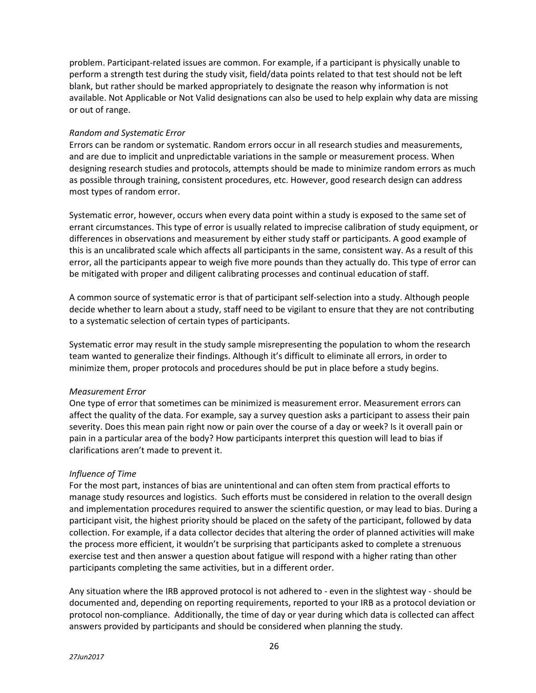problem. Participant-related issues are common. For example, if a participant is physically unable to perform a strength test during the study visit, field/data points related to that test should not be left blank, but rather should be marked appropriately to designate the reason why information is not available. Not Applicable or Not Valid designations can also be used to help explain why data are missing or out of range.

#### *Random and Systematic Error*

Errors can be random or systematic. Random errors occur in all research studies and measurements, and are due to implicit and unpredictable variations in the sample or measurement process. When designing research studies and protocols, attempts should be made to minimize random errors as much as possible through training, consistent procedures, etc. However, good research design can address most types of random error.

Systematic error, however, occurs when every data point within a study is exposed to the same set of errant circumstances. This type of error is usually related to imprecise calibration of study equipment, or differences in observations and measurement by either study staff or participants. A good example of this is an uncalibrated scale which affects all participants in the same, consistent way. As a result of this error, all the participants appear to weigh five more pounds than they actually do. This type of error can be mitigated with proper and diligent calibrating processes and continual education of staff.

A common source of systematic error is that of participant self-selection into a study. Although people decide whether to learn about a study, staff need to be vigilant to ensure that they are not contributing to a systematic selection of certain types of participants.

Systematic error may result in the study sample misrepresenting the population to whom the research team wanted to generalize their findings. Although it's difficult to eliminate all errors, in order to minimize them, proper protocols and procedures should be put in place before a study begins.

# *Measurement Error*

One type of error that sometimes can be minimized is measurement error. Measurement errors can affect the quality of the data. For example, say a survey question asks a participant to assess their pain severity. Does this mean pain right now or pain over the course of a day or week? Is it overall pain or pain in a particular area of the body? How participants interpret this question will lead to bias if clarifications aren't made to prevent it.

# *Influence of Time*

For the most part, instances of bias are unintentional and can often stem from practical efforts to manage study resources and logistics. Such efforts must be considered in relation to the overall design and implementation procedures required to answer the scientific question, or may lead to bias. During a participant visit, the highest priority should be placed on the safety of the participant, followed by data collection. For example, if a data collector decides that altering the order of planned activities will make the process more efficient, it wouldn't be surprising that participants asked to complete a strenuous exercise test and then answer a question about fatigue will respond with a higher rating than other participants completing the same activities, but in a different order.

Any situation where the IRB approved protocol is not adhered to - even in the slightest way - should be documented and, depending on reporting requirements, reported to your IRB as a protocol deviation or protocol non-compliance. Additionally, the time of day or year during which data is collected can affect answers provided by participants and should be considered when planning the study.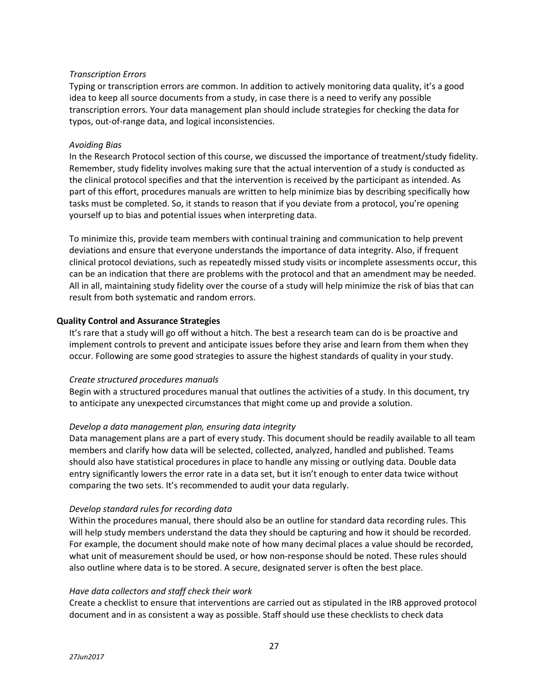# *Transcription Errors*

Typing or transcription errors are common. In addition to actively monitoring data quality, it's a good idea to keep all source documents from a study, in case there is a need to verify any possible transcription errors. Your data management plan should include strategies for checking the data for typos, out-of-range data, and logical inconsistencies.

# *Avoiding Bias*

In the Research Protocol section of this course, we discussed the importance of treatment/study fidelity. Remember, study fidelity involves making sure that the actual intervention of a study is conducted as the clinical protocol specifies and that the intervention is received by the participant as intended. As part of this effort, procedures manuals are written to help minimize bias by describing specifically how tasks must be completed. So, it stands to reason that if you deviate from a protocol, you're opening yourself up to bias and potential issues when interpreting data.

To minimize this, provide team members with continual training and communication to help prevent deviations and ensure that everyone understands the importance of data integrity. Also, if frequent clinical protocol deviations, such as repeatedly missed study visits or incomplete assessments occur, this can be an indication that there are problems with the protocol and that an amendment may be needed. All in all, maintaining study fidelity over the course of a study will help minimize the risk of bias that can result from both systematic and random errors.

# **Quality Control and Assurance Strategies**

It's rare that a study will go off without a hitch. The best a research team can do is be proactive and implement controls to prevent and anticipate issues before they arise and learn from them when they occur. Following are some good strategies to assure the highest standards of quality in your study.

# *Create structured procedures manuals*

Begin with a structured procedures manual that outlines the activities of a study. In this document, try to anticipate any unexpected circumstances that might come up and provide a solution.

# *Develop a data management plan, ensuring data integrity*

Data management plans are a part of every study. This document should be readily available to all team members and clarify how data will be selected, collected, analyzed, handled and published. Teams should also have statistical procedures in place to handle any missing or outlying data. Double data entry significantly lowers the error rate in a data set, but it isn't enough to enter data twice without comparing the two sets. It's recommended to audit your data regularly.

# *Develop standard rules for recording data*

Within the procedures manual, there should also be an outline for standard data recording rules. This will help study members understand the data they should be capturing and how it should be recorded. For example, the document should make note of how many decimal places a value should be recorded, what unit of measurement should be used, or how non-response should be noted. These rules should also outline where data is to be stored. A secure, designated server is often the best place.

# *Have data collectors and staff check their work*

Create a checklist to ensure that interventions are carried out as stipulated in the IRB approved protocol document and in as consistent a way as possible. Staff should use these checklists to check data